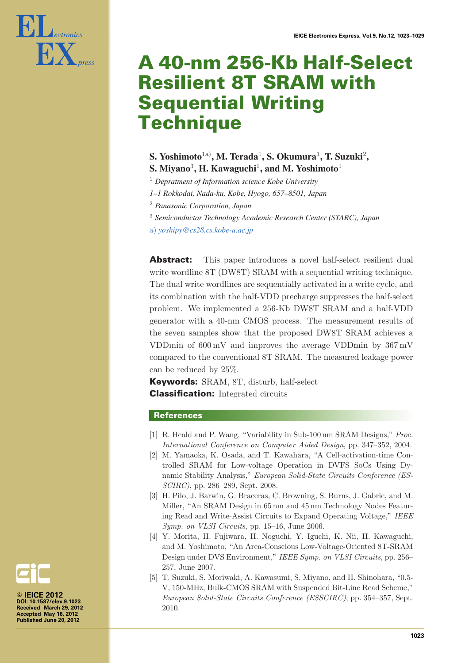

# **A 40-nm 256-Kb Half-Select Resilient 8T SRAM with Sequential Writing Technique**

- **S. Yoshimoto**1a)**, M. Terada**<sup>1</sup>**, S. Okumura**<sup>1</sup>**, T. Suzuki**<sup>2</sup>**, S. Miyano**<sup>3</sup>**, H. Kawaguchi**<sup>1</sup>**, and M. Yoshimoto**<sup>1</sup>
- <sup>1</sup> *Depratment of Information science Kobe University*
- *1–1 Rokkodai, Nada-ku, Kobe, Hyogo, 657–8501, Japan*
- <sup>2</sup> *Panasonic Corporation, Japan*
- <sup>3</sup> *Semiconductor Technology Academic Research Center (STARC), Japan*
- a) *yoshipy@cs28.cs.kobe-u.ac.jp*

**Abstract:** This paper introduces a novel half-select resilient dual write wordline  $ST$  (DW8T) SRAM with a sequential writing technique. The dual write wordlines are sequentially activated in a write cycle, and its combination with the half-VDD precharge suppresses the half-select problem. We implemented a 256-Kb DW8T SRAM and a half-VDD generator with a 40-nm CMOS process. The measurement results of the seven samples show that the proposed DW8T SRAM achieves a VDDmin of 600 mV and improves the average VDDmin by 367 mV compared to the conventional 8T SRAM. The measured leakage power can be reduced by 25%.

**Keywords:** SRAM, 8T, disturb, half-select **Classification:** Integrated circuits

#### **References**

- [1] R. Heald and P. Wang, "Variability in Sub-100 nm SRAM Designs," *Proc. International Conference on Computer Aided Design*, pp. 347–352, 2004.
- [2] M. Yamaoka, K. Osada, and T. Kawahara, "A Cell-activation-time Controlled SRAM for Low-voltage Operation in DVFS SoCs Using Dynamic Stability Analysis," *European Solid-State Circuits Conference (ES-SCIRC)*, pp. 286–289, Sept. 2008.
- [3] H. Pilo, J. Barwin, G. Braceras, C. Browning, S. Burns, J. Gabric, and M. Miller, "An SRAM Design in 65 nm and 45 nm Technology Nodes Featuring Read and Write-Assist Circuits to Expand Operating Voltage," *IEEE Symp. on VLSI Circuits*, pp. 15–16, June 2006.
- [4] Y. Morita, H. Fujiwara, H. Noguchi, Y. Iguchi, K. Nii, H. Kawaguchi, and M. Yoshimoto, "An Area-Conscious Low-Voltage-Oriented 8T-SRAM Design under DVS Environment," *IEEE Symp. on VLSI Circuits*, pp. 256– 257, June 2007.
- [5] T. Suzuki, S. Moriwaki, A. Kawasumi, S. Miyano, and H. Shinohara, "0.5- V, 150-MHz, Bulk-CMOS SRAM with Suspended Bit-Line Read Scheme," *European Solid-State Circuits Conference (ESSCIRC)*, pp. 354–357, Sept. 2010.

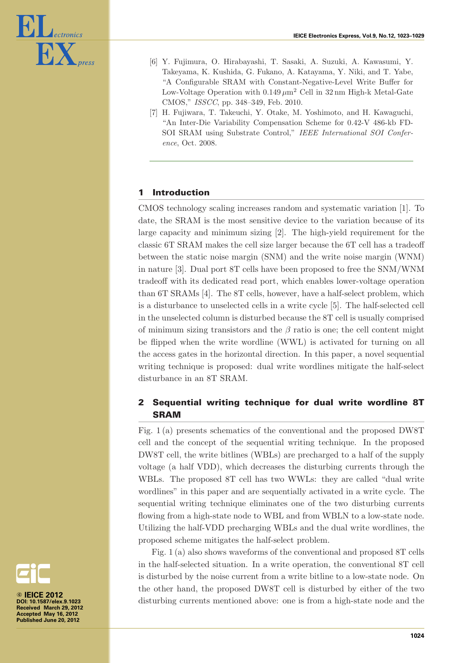

- [6] Y. Fujimura, O. Hirabayashi, T. Sasaki, A. Suzuki, A. Kawasumi, Y. Takeyama, K. Kushida, G. Fukano, A. Katayama, Y. Niki, and T. Yabe, "A Configurable SRAM with Constant-Negative-Level Write Buffer for Low-Voltage Operation with  $0.149 \mu m^2$  Cell in 32 nm High-k Metal-Gate CMOS," *ISSCC*, pp. 348–349, Feb. 2010.
- [7] H. Fujiwara, T. Takeuchi, Y. Otake, M. Yoshimoto, and H. Kawaguchi, "An Inter-Die Variability Compensation Scheme for 0.42-V 486-kb FD-SOI SRAM using Substrate Control," *IEEE International SOI Conference*, Oct. 2008.

## **1 Introduction**

CMOS technology scaling increases random and systematic variation [1]. To date, the SRAM is the most sensitive device to the variation because of its large capacity and minimum sizing [2]. The high-yield requirement for the classic 6T SRAM makes the cell size larger because the 6T cell has a tradeoff between the static noise margin (SNM) and the write noise margin (WNM) in nature [3]. Dual port 8T cells have been proposed to free the SNM/WNM tradeoff with its dedicated read port, which enables lower-voltage operation than 6T SRAMs [4]. The 8T cells, however, have a half-select problem, which is a disturbance to unselected cells in a write cycle [5]. The half-selected cell in the unselected column is disturbed because the 8T cell is usually comprised of minimum sizing transistors and the  $\beta$  ratio is one; the cell content might be flipped when the write wordline (WWL) is activated for turning on all the access gates in the horizontal direction. In this paper, a novel sequential writing technique is proposed: dual write wordlines mitigate the half-select disturbance in an 8T SRAM.

## **2 Sequential writing technique for dual write wordline 8T SRAM**

Fig. 1 (a) presents schematics of the conventional and the proposed DW8T cell and the concept of the sequential writing technique. In the proposed DW8T cell, the write bitlines (WBLs) are precharged to a half of the supply voltage (a half VDD), which decreases the disturbing currents through the WBLs. The proposed 8T cell has two WWLs: they are called "dual write wordlines" in this paper and are sequentially activated in a write cycle. The sequential writing technique eliminates one of the two disturbing currents flowing from a high-state node to WBL and from WBLN to a low-state node. Utilizing the half-VDD precharging WBLs and the dual write wordlines, the proposed scheme mitigates the half-select problem.

Fig. 1 (a) also shows waveforms of the conventional and proposed 8T cells in the half-selected situation. In a write operation, the conventional 8T cell is disturbed by the noise current from a write bitline to a low-state node. On the other hand, the proposed DW8T cell is disturbed by either of the two disturbing currents mentioned above: one is from a high-state node and the

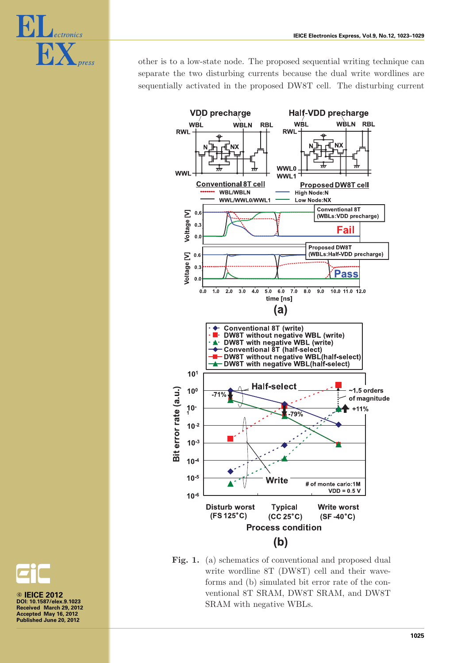

other is to a low-state node. The proposed sequential writing technique can separate the two disturbing currents because the dual write wordlines are sequentially activated in the proposed DW8T cell. The disturbing current



Fig. 1. (a) schematics of conventional and proposed dual write wordline 8T (DW8T) cell and their waveforms and (b) simulated bit error rate of the conventional 8T SRAM, DW8T SRAM, and DW8T SRAM with negative WBLs.

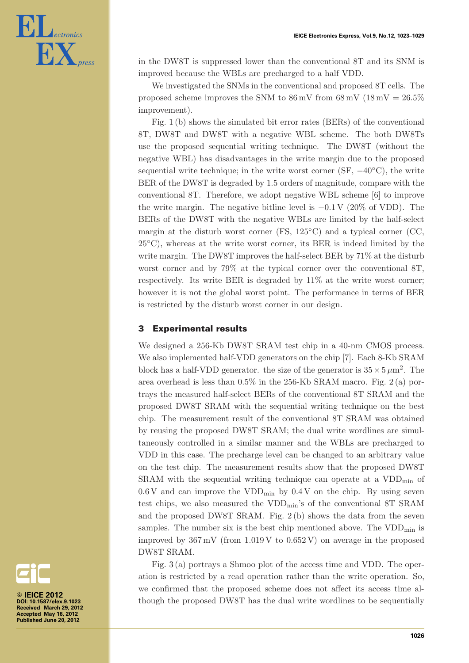

in the DW8T is suppressed lower than the conventional 8T and its SNM is improved because the WBLs are precharged to a half VDD.

We investigated the SNMs in the conventional and proposed 8T cells. The proposed scheme improves the SNM to  $86 \,\mathrm{mV}$  from  $68 \,\mathrm{mV}$  ( $18 \,\mathrm{mV} = 26.5\%$ ) improvement).

Fig. 1 (b) shows the simulated bit error rates (BERs) of the conventional 8T, DW8T and DW8T with a negative WBL scheme. The both DW8Ts use the proposed sequential writing technique. The DW8T (without the negative WBL) has disadvantages in the write margin due to the proposed sequential write technique; in the write worst corner (SF, *−*40◦C), the write BER of the DW8T is degraded by 1.5 orders of magnitude, compare with the conventional 8T. Therefore, we adopt negative WBL scheme [6] to improve the write margin. The negative bitline level is *−*0.1 V (20% of VDD). The BERs of the DW8T with the negative WBLs are limited by the half-select margin at the disturb worst corner (FS,  $125\degree C$ ) and a typical corner (CC,  $25^{\circ}$ C), whereas at the write worst corner, its BER is indeed limited by the write margin. The DW8T improves the half-select BER by 71% at the disturb worst corner and by 79% at the typical corner over the conventional 8T, respectively. Its write BER is degraded by 11% at the write worst corner; however it is not the global worst point. The performance in terms of BER is restricted by the disturb worst corner in our design.

#### **3 Experimental results**

We designed a 256-Kb DW8T SRAM test chip in a 40-nm CMOS process. We also implemented half-VDD generators on the chip [7]. Each 8-Kb SRAM block has a half-VDD generator. the size of the generator is  $35 \times 5 \mu m^2$ . The area overhead is less than 0.5% in the 256-Kb SRAM macro. Fig. 2 (a) portrays the measured half-select BERs of the conventional 8T SRAM and the proposed DW8T SRAM with the sequential writing technique on the best chip. The measurement result of the conventional 8T SRAM was obtained by reusing the proposed DW8T SRAM; the dual write wordlines are simultaneously controlled in a similar manner and the WBLs are precharged to VDD in this case. The precharge level can be changed to an arbitrary value on the test chip. The measurement results show that the proposed DW8T SRAM with the sequential writing technique can operate at a  $VDD_{min}$  of  $0.6$  V and can improve the VDD<sub>min</sub> by  $0.4$  V on the chip. By using seven test chips, we also measured the  $VDD_{\text{min}}$ 's of the conventional 8T SRAM and the proposed DW8T SRAM. Fig. 2 (b) shows the data from the seven samples. The number six is the best chip mentioned above. The  $VDD_{min}$  is improved by  $367 \,\mathrm{mV}$  (from  $1.019 \,\mathrm{V}$  to  $0.652 \,\mathrm{V}$ ) on average in the proposed DW8T SRAM.

Fig. 3 (a) portrays a Shmoo plot of the access time and VDD. The operation is restricted by a read operation rather than the write operation. So, we confirmed that the proposed scheme does not affect its access time although the proposed DW8T has the dual write wordlines to be sequentially

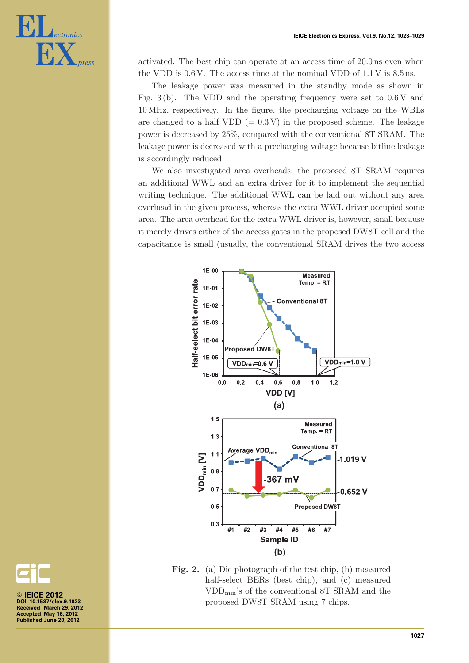

activated. The best chip can operate at an access time of 20.0 ns even when the VDD is 0.6 V. The access time at the nominal VDD of 1.1 V is 8.5 ns.

The leakage power was measured in the standby mode as shown in Fig. 3 (b). The VDD and the operating frequency were set to 0.6 V and 10 MHz, respectively. In the figure, the precharging voltage on the WBLs are changed to a half VDD  $(= 0.3 \text{ V})$  in the proposed scheme. The leakage power is decreased by 25%, compared with the conventional 8T SRAM. The leakage power is decreased with a precharging voltage because bitline leakage is accordingly reduced.

We also investigated area overheads; the proposed 8T SRAM requires an additional WWL and an extra driver for it to implement the sequential writing technique. The additional WWL can be laid out without any area overhead in the given process, whereas the extra WWL driver occupied some area. The area overhead for the extra WWL driver is, however, small because it merely drives either of the access gates in the proposed DW8T cell and the capacitance is small (usually, the conventional SRAM drives the two access



**Fig. 2.** (a) Die photograph of the test chip, (b) measured half-select BERs (best chip), and (c) measured VDDmin's of the conventional 8T SRAM and the proposed DW8T SRAM using 7 chips.

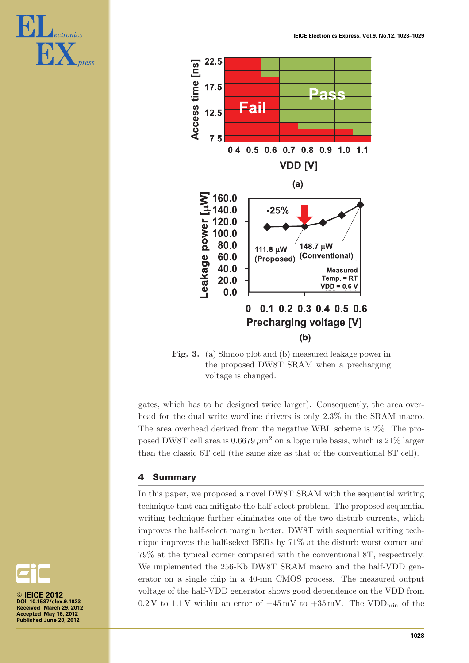



**Fig. 3.** (a) Shmoo plot and (b) measured leakage power in the proposed DW8T SRAM when a precharging voltage is changed.

gates, which has to be designed twice larger). Consequently, the area overhead for the dual write wordline drivers is only 2.3% in the SRAM macro. The area overhead derived from the negative WBL scheme is 2%. The proposed DW8T cell area is  $0.6679 \,\mu m^2$  on a logic rule basis, which is  $21\%$  larger than the classic 6T cell (the same size as that of the conventional 8T cell).

## **4 Summary**

In this paper, we proposed a novel DW8T SRAM with the sequential writing technique that can mitigate the half-select problem. The proposed sequential writing technique further eliminates one of the two disturb currents, which improves the half-select margin better. DW8T with sequential writing technique improves the half-select BERs by 71% at the disturb worst corner and 79% at the typical corner compared with the conventional 8T, respectively. We implemented the 256-Kb DW8T SRAM macro and the half-VDD generator on a single chip in a 40-nm CMOS process. The measured output voltage of the half-VDD generator shows good dependence on the VDD from 0.2 V to 1.1 V within an error of  $-45$  mV to  $+35$  mV. The VDD<sub>min</sub> of the